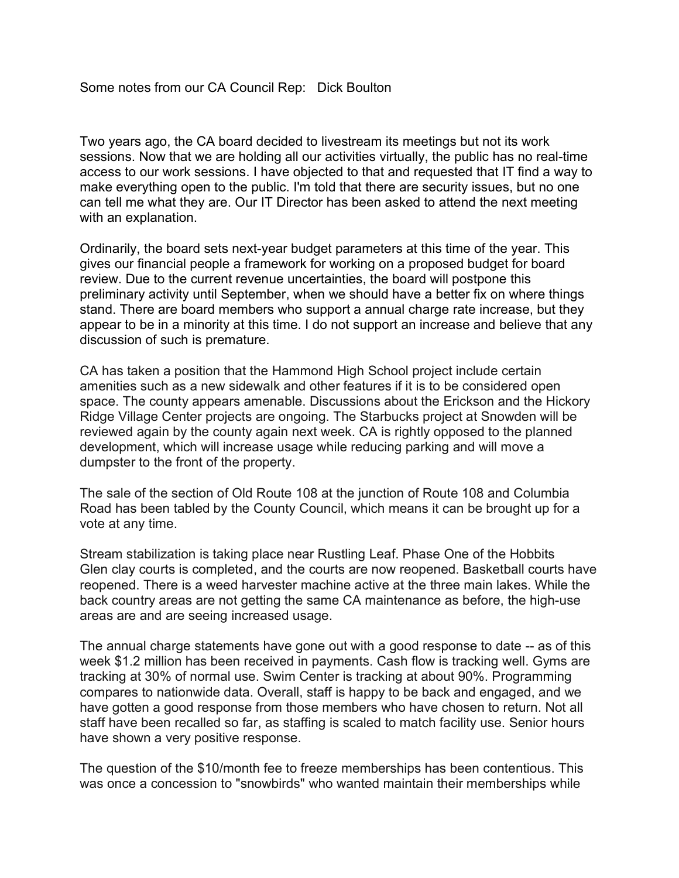Two years ago, the CA board decided to livestream its meetings but not its work sessions. Now that we are holding all our activities virtually, the public has no real-time access to our work sessions. I have objected to that and requested that IT find a way to make everything open to the public. I'm told that there are security issues, but no one can tell me what they are. Our IT Director has been asked to attend the next meeting with an explanation.

Ordinarily, the board sets next-year budget parameters at this time of the year. This gives our financial people a framework for working on a proposed budget for board review. Due to the current revenue uncertainties, the board will postpone this preliminary activity until September, when we should have a better fix on where things stand. There are board members who support a annual charge rate increase, but they appear to be in a minority at this time. I do not support an increase and believe that any discussion of such is premature.

CA has taken a position that the Hammond High School project include certain amenities such as a new sidewalk and other features if it is to be considered open space. The county appears amenable. Discussions about the Erickson and the Hickory Ridge Village Center projects are ongoing. The Starbucks project at Snowden will be reviewed again by the county again next week. CA is rightly opposed to the planned development, which will increase usage while reducing parking and will move a dumpster to the front of the property.

The sale of the section of Old Route 108 at the junction of Route 108 and Columbia Road has been tabled by the County Council, which means it can be brought up for a vote at any time.

Stream stabilization is taking place near Rustling Leaf. Phase One of the Hobbits Glen clay courts is completed, and the courts are now reopened. Basketball courts have reopened. There is a weed harvester machine active at the three main lakes. While the back country areas are not getting the same CA maintenance as before, the high-use areas are and are seeing increased usage.

The annual charge statements have gone out with a good response to date -- as of this week \$1.2 million has been received in payments. Cash flow is tracking well. Gyms are tracking at 30% of normal use. Swim Center is tracking at about 90%. Programming compares to nationwide data. Overall, staff is happy to be back and engaged, and we have gotten a good response from those members who have chosen to return. Not all staff have been recalled so far, as staffing is scaled to match facility use. Senior hours have shown a very positive response.

The question of the \$10/month fee to freeze memberships has been contentious. This was once a concession to "snowbirds" who wanted maintain their memberships while